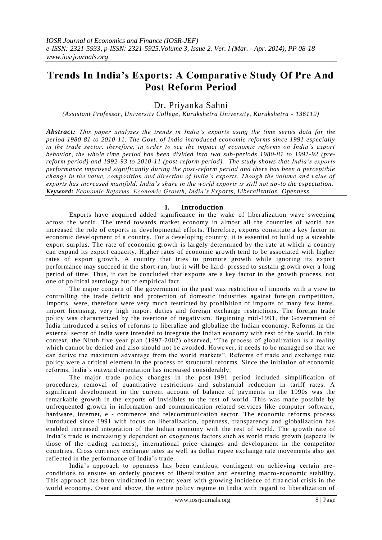# **Trends In India's Exports: A Comparative Study Of Pre And Post Reform Period**

Dr. Priyanka Sahni

*(Assistant Professor, University College, Kurukshetra University, Kurukshetra - 136119)*

*Abstract: This paper analyzes the trends in India's exports using the time series data for the period 1980-81 to 2010-11. The Govt. of India introduced economic reforms since 1991 especially in the trade sector, therefore, in order to see the impact of economic reforms on India's export behavior, the whole time period has been divided into two sub-periods 1980-81 to 1991-92 (prereform period) and 1992-93 to 2010-11 (post-reform period). The study shows that India's exports performance improved significantly during the post-reform period and there has been a perceptible change in the value, composition and direction of India's exports. Though the volume and value of exports has increased manifold, India's share in the world exports is still not up -to the expectation. Keyword: Economic Reforms, Economic Growth, India's Exports, Liberalization, Openness.*

# **I. Introduction**

Exports have acquired added significance in the wake of liberalization wave sweeping across the world. The trend towards market economy in almost all the countries of world has increased the role of exports in developmental efforts. Therefore, exports constitute a key factor in economic development of a country. For a developing country, it is essential to build up a sizeable export surplus. The rate of economic growth is largely determined by the rate at which a country can expand its export capacity. Higher rates of economic growth tend to be associated with higher rates of export growth. A country that tries to promote growth while ignoring its export performance may succeed in the short-run, but it will be hard- pressed to sustain growth over a long period of time. Thus, it can be concluded that exports are a key factor in the growth process, not one of political astrology but of empirical fact.

The major concern of the government in the past was restriction of imports with a view to controlling the trade deficit and protection of domestic industries against foreign competition. Imports were, therefore were very much restricted by prohibition of imports of many few items, import licensing, very high import duties and foreign exchange restrictions. The foreign trade policy was characterized by the overtone of negativism. Beginning mid -1991, the Government of India introduced a series of reforms to liberalize and globalize the Indian economy. Reforms in the external sector of India were intended to integrate the Indian economy with rest of the world. In this context, the Ninth five year plan (1997-2002) observed, "The process of globalization is a reality which cannot be denied and also should not be avoided. Howe ver, it needs to be managed so that we can derive the maximum advantage from the world markets". Reforms of trade and exchange rate policy were a critical element in the process of structural reforms. Since the initiation of economic reforms, India"s outward orientation has increased considerably.

The major trade policy changes in the post-1991 period included simplification of procedures, removal of quantitative restrictions and substantial reduction in tariff rates. A significant development in the current account of balance of payments in the 1990s was the remarkable growth in the exports of invisibles to the rest of world. This was made possible by unfrequented growth in information and communication related services like computer software, hardware, internet, e - commerce and telecommunication sector. The economic reforms process introduced since 1991 with focus on liberalization, openness, transparency and globalization has enabled increased integration of the Indian economy with the rest of world. The growth rate of India"s trade is increasingly dependent on exogenous factors such as world trade growth (especially those of the trading partners), international price changes and development in the competitor countries. Cross currency exchange rates as well as dollar rupee exchange rate movements also get reflected in the performance of India"s trade.

India"s approach to openness has been cautious, contingent on achieving certain pre conditions to ensure an orderly process of liberalization and ensuring macro -economic stability. This approach has been vindicated in recent years with growing incidence of fina ncial crisis in the world economy. Over and above, the entire policy regime in India with regard to liberalization of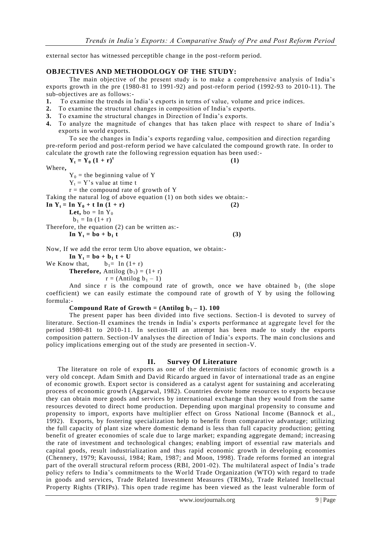external sector has witnessed perceptible change in the post-reform period.

# **OBJECTIVES AND METHODOLOGY OF THE STUDY:**

The main objective of the present study is to make a comprehensive analysis of India"s exports growth in the pre (1980-81 to 1991-92) and post-reform period (1992-93 to 2010-11). The sub-objectives are as follows:-

- **1.** To examine the trends in India"s exports in terms of value, volume and price indices.
- **2.** To examine the structural changes in composition of India"s exports.
- **3.** To examine the structural changes in Direction of India"s exports.
- **4.** To analyze the magnitude of changes that has taken place with respect to share of India"s exports in world exports.

To see the changes in India"s exports regarding value, composition and direction regarding pre-reform period and post-reform period we have calculated the compound growth rate. In order to calculate the growth rate the following regression equation has been used:- $Y_t = Y_0 (1 + r)^t$  **(1)**

Where**,**

 $Y_0$  = the beginning value of Y

 $Y_t = Y$ 's value at time t  $r =$  the compound rate of growth of Y

Taking the natural log of above equation (1) on both sides we obtain:-

 $\ln Y_t = \ln Y_0 + t \ln (1 + r)$  (2)

**Let,** bo = In  $Y_0$ 

 $b_1 = \text{In} (1+r)$ 

Therefore, the equation (2) can be written as:-

 $\ln Y_t = b0 + b_1 t$  (3)

Now, If we add the error term Uto above equation, we obtain:-

**In Y<sub>t</sub> = bo + b<sub>1</sub> t** + **U**<br>b<sub>1</sub> = In (1+ r) We Know that, **Therefore,** Antilog  $(b_1) = (1+r)$  $r = (Antilog b<sub>1</sub> - 1)$ 

And since r is the compound rate of growth, once we have obtained  $b_1$  (the slope coefficient) we can easily estimate the compound rate of growth of Y by using the following formula:-

### **Compound Rate of Growth =**  $(Antilog b_1 - 1)$ **. 100**

The present paper has been divided into five sections. Section-I is devoted to survey of literature. Section-II examines the trends in India"s exports performance at aggregate level for the period 1980-81 to 2010-11. In section-III an attempt has been made to study the exports composition pattern. Section-IV analyses the direction of India"s exports. The main conclusions and policy implications emerging out of the study are presented in section -V.

# **II. Survey Of Literature**

The literature on role of exports as one of the deterministic factors of economic growth is a very old concept. Adam Smith and David Ricardo argued in favor of international trade as an engine of economic growth. Export sector is considered as a catalyst agent for sustaining and accelerating process of economic growth (Aggarwal, 1982). Countries devote home resources to exports beca use they can obtain more goods and services by international exchange than they would from the same resources devoted to direct home production. Depending upon marginal propensity to consume and propensity to import, exports have multiplier effect on Gross National Income (Bannock et al., 1992). Exports, by fostering specialization help to benefit from comparative advantage; utilizing the full capacity of plant size where domestic demand is less than full capacity production; getting benefit of greater economies of scale due to large market; expanding aggregate demand; increasing the rate of investment and technological changes; enabling import of essential raw materials and capital goods, result industrialization and thus rapid economic growth in developing economies (Chennery, 1979; Kavoussi, 1984; Ram, 1987; and Moon, 1998). Trade reforms formed an integral part of the overall structural reform process (RBI, 2001-02). The multilateral aspect of India"s trade policy refers to India"s commitments to the World Trade Organization (WTO) with regard to trade in goods and services, Trade Related Investment Measures (TRIMs), Trade Related Intellectual Property Rights (TRIPs). This open trade regime has been viewed as the least vulnerable form of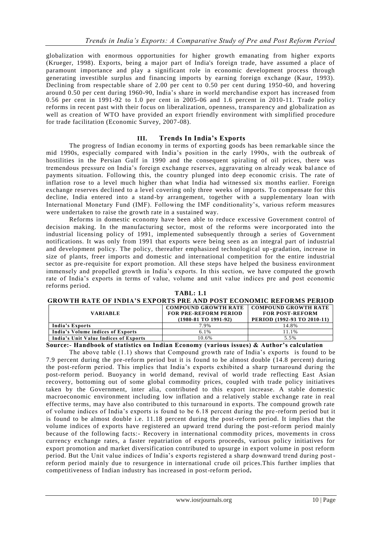globalization with enormous opportunities for higher growth emanating from higher exports (Krueger, 1998). Exports, being a major part of India's foreign trade, have assumed a place of paramount importance and play a significant role in economic development process through generating investible surplus and financing imports by earning foreign exchange (Kaur, 1993). Declining from respectable share of 2.00 per cent to 0.50 per cent during 1950 -60, and hovering around 0.50 per cent during 1960-90, India"s share in world merchandise export has increased from 0.56 per cent in 1991-92 to 1.0 per cent in 2005-06 and 1.6 percent in 2010-11. Trade policy reforms in recent past with their focus on liberalization, openness, transparency and globalization as well as creation of WTO have provided an export friendly environment with simplified procedure for trade facilitation (Economic Survey, 2007-08).

# **III. Trends In India's Exports**

The progress of Indian economy in terms of exporting goods has been remarkable since the mid 1990s, especially compared with India"s position in the early 1990s, with the outbreak of hostilities in the Persian Gulf in 1990 and the consequent spiraling of oil prices, there was tremendous pressure on India"s foreign exchange reserves, aggravating on already weak bal ance of payments situation. Following this, the country plunged into deep economic crisis. The rate of inflation rose to a level much higher than what India had witnessed six months earlier. Foreign exchange reserves declined to a level covering only three weeks of imports. To compensate for this decline, India entered into a stand-by arrangement, together with a supplementary loan with International Monetary Fund (IMF). Following the IMF conditionality"s, various reform measures were undertaken to raise the growth rate in a sustained way.

Reforms in domestic economy have been able to reduce excessive Government control of decision making. In the manufacturing sector, most of the reforms were incorporated into the industrial licensing policy of 1991, implemented subsequently through a series of Government notifications. It was only from 1991 that exports were being seen as an integral part of industrial and development policy. The policy, thereafter emphasized technological up -gradation, increase in size of plants, freer imports and domestic and international competition for the entire industrial sector as pre-requisite for export promotion. All these steps have helped the business environment immensely and propelled growth in India"s exports. In this section, we have computed the growth rate of India"s exports in terms of value, volume and unit value indices pre and post economic reforms period. **TABL: 1.1**

| GROWTH RATE OF INDIA'S EXPORTS PRE AND POST ECONOMIC REFORMS PERIOD |                                             |                        |
|---------------------------------------------------------------------|---------------------------------------------|------------------------|
|                                                                     | COMPOUND GROWTH RATE   COMPOUND GROWTH RATE |                        |
| <b>VARIABLE</b>                                                     | <b>FOR PRE-REFORM PERIOD</b>                | <b>FOR POST-REFORM</b> |

**(1980-81 TO 1991-92)**

| India's Exports                       | 7.9%  | 14.8% |
|---------------------------------------|-------|-------|
| India's Volume indices of Exports     | 6.1%  | 11.1% |
| India's Unit Value Indices of Exports | 10.6% | 5.5%  |

**Source:- Handbook of statistics on Indian Economy (various issues) & Author's calculation** 

The above table  $(1.1)$  shows that Compound growth rate of India's exports is found to be 7.9 percent during the pre-reform period but it is found to be almost double (14.8 percent) during the post-reform period. This implies that India"s exports exhibited a sharp turnaround during the post-reform period. Buoyancy in world demand, revival of world trade reflecting East Asian recovery, bottoming out of some global commodity prices, coupled with trade policy initiatives taken by the Government, inter alia, contributed to this export increase. A stable domestic macroeconomic environment including low inflation and a relatively stable exchange rate in real effective terms, may have also contributed to this turnaround in exports. The compound growth rate of volume indices of India"s exports is found to be 6.18 percent during the pre -reform period but it is found to be almost double i.e. 11.18 percent during the post-reform period. It implies that the volume indices of exports have registered an upward trend during the post-reform period mainly because of the following facts:- Recovery in international commodity prices, movements in cross currency exchange rates, a faster repatriation of exports proceeds, various policy initiatives for export promotion and market diversification contributed to upsurge in export volume in post reform period. But the Unit value indices of India's exports registered a sharp downward trend during postreform period mainly due to resurgence in international crude oil prices.This further implies that competitiveness of Indian industry has increased in post-reform period**.**

**PERIOD (1992-93 TO 2010-11)**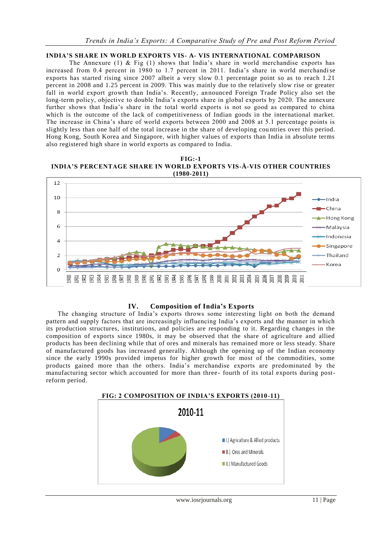# **INDIA'S SHARE IN WORLD EXPORTS VIS- A- VIS INTERNATIONAL COMPARISON**

The Annexure (1)  $\&$  Fig (1) shows that India's share in world merchandise exports has increased from 0.4 percent in 1980 to 1.7 percent in 2011. India"s share in world merchandise exports has started rising since 2007 albeit a very slow 0.1 percentage point so as to reach 1.21 percent in 2008 and 1.25 percent in 2009. This was mainly due to the relatively slow rise or greater fall in world export growth than India"s. Recently, announced Foreign Trade Policy also set the long-term policy, objective to double India's exports share in global exports by 2020. The annexure further shows that India's share in the total world exports is not so good as compared to china which is the outcome of the lack of competitiveness of Indian goods in the international market. The increase in China"s share of world exports between 2000 and 2008 at 5.1 percentage points is slightly less than one half of the total increase in the share of developing cou ntries over this period. Hong Kong, South Korea and Singapore, with higher values of exports than India in absolute terms also registered high share in world exports as compared to India.

**FIG:-1 INDIA'S PERCENTAGE SHARE IN WORLD EXPORTS VIS-À-VIS OTHER COUNTRIES (1980-2011)**



# **IV. Composition of India's Exports**

The changing structure of India"s exports throws some interesting light on both the demand pattern and supply factors that are increasingly influencing India"s exports and the manner in which its production structures, institutions, and policies are responding to it. Regarding changes in the composition of exports since 1980s, it may be observed that the share of agriculture and allied products has been declining while that of ores and minerals has remained more or less steady. Share of manufactured goods has increased generally. Although the opening up of the Indian economy since the early 1990s provided impetus for higher growth for most of the commodities, some products gained more than the others. India"s merchandise exports are predominated by the manufacturing sector which accounted for more than three - fourth of its total exports during postreform period.

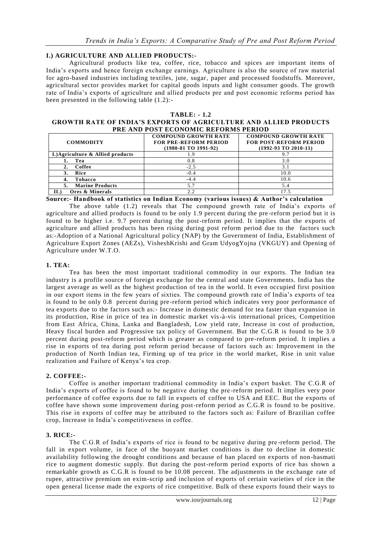# **I.) AGRICULTURE AND ALLIED PRODUCTS:-**

Agricultural products like tea, coffee, rice, tobacco and spices are important items of India"s exports and hence foreign exchange earnings. Agriculture is also the source of raw material for agro-based industries including textiles, jute, sugar, paper and processed foodstuffs. Moreover, agricultural sector provides market for capital goods inputs and light consumer goods. The growth rate of India"s exports of agriculture and allied products pre and post economic reforms period has been presented in the following table (1.2):-

#### **TABLE: - 1.2**

#### **GROWTH RATE OF INDIA'S EXPORTS OF AGRICULTURE AND ALLIED PRODUCTS PRE AND POST ECONOMIC REFORMS PERIOD**

| <b>COMMODITY</b>                  | <b>COMPOUND GROWTH RATE</b><br><b>FOR PRE-REFORM PERIOD</b><br>(1980-81 TO 1991-92) | <b>COMPOUND GROWTH RATE</b><br><b>FOR POST-REFORM PERIOD</b><br>$(1992-93)$ TO 2010-11) |  |  |  |  |  |  |  |  |  |  |
|-----------------------------------|-------------------------------------------------------------------------------------|-----------------------------------------------------------------------------------------|--|--|--|--|--|--|--|--|--|--|
| I.) Agriculture & Allied products |                                                                                     | 9.7                                                                                     |  |  |  |  |  |  |  |  |  |  |
| Tea                               | 0.8                                                                                 | 3.0                                                                                     |  |  |  |  |  |  |  |  |  |  |
| Coffee                            | $-2.5$                                                                              | 3.1                                                                                     |  |  |  |  |  |  |  |  |  |  |
| Rice                              | $-0.4$                                                                              | 10.0                                                                                    |  |  |  |  |  |  |  |  |  |  |
| Tobacco<br>4.                     | $-4.4$                                                                              | 10.6                                                                                    |  |  |  |  |  |  |  |  |  |  |
| <b>Marine Products</b>            |                                                                                     | 5.4                                                                                     |  |  |  |  |  |  |  |  |  |  |
| Ores & Minerals<br>II.            | 2.2                                                                                 | 175                                                                                     |  |  |  |  |  |  |  |  |  |  |

**Source:- Handbook of statistics on Indian Economy (various issues) & Author's calculation** 

The above table (1.2) reveals that The compound growth rate of India"s exports of agriculture and allied products is found to be only 1.9 percent during the pre -reform period but it is found to be higher i.e. 9.7 percent during the post-reform period. It implies that the exports of agriculture and allied products has been rising during post reform period due to the factors such as:-Adoption of a National Agricultural policy (NAP) by the Government of India, Establishment of Agriculture Export Zones (AEZs), VisheshKrishi and Gram UdyogYojna (VKGUY) and Opening of Agriculture under W.T.O.

### **1. TEA:**

Tea has been the most important traditional commodity in our exports. The Indian tea industry is a profile source of foreign exchange for the central and state Governments. India has the largest average as well as the highest production of tea in the world. It even occupied first position in our export items in the few years of sixties. The compound growth rate of India"s exports of tea is found to be only 0.8 percent during pre -reform period which indicates very poor performance of tea exports due to the factors such as:- Increase in domestic demand for tea faster than expansion in its production, Rise in price of tea in domestic market vis-à-vis international prices, Competition from East Africa, China, Lanka and Bangladesh, Low yield rate, Increase in cost of production, Heavy fiscal burden and Progressive tax policy of Government. But the C.G.R is found to be 3.0 percent during post-reform period which is greater as compared to pre-reform period. It implies a rise in exports of tea during post reform period because of factors such as: Improvement in the production of North Indian tea, Firming up of tea price in the world market, Rise in unit value realization and Failure of Kenya"s tea crop.

# **2. COFFEE:-**

Coffee is another important traditional commodity in India"s export basket. The C.G.R of India"s exports of coffee is found to be negative during the pre -reform period. It implies very poor performance of coffee exports due to fall in exports of coffee to USA and EEC. But the exports of coffee have shown some improvement during post-reform period as C.G.R is found to be positive. This rise in exports of coffee may be attributed to the factors such as: Failure of Brazilian coffee crop, Increase in India"s competitiveness in coffee.

### **3. RICE:-**

The C.G.R of India"s exports of rice is found to be negative during pre -reform period. The fall in export volume, in face of the buoyant market conditions is due to decline in domestic availability following the drought conditions and because of ban placed on exports of non -basmati rice to augment domestic supply. But during the post-reform period exports of rice has shown a remarkable growth as C.G.R is found to be 10.08 percent. The adjustments in the exchange rate of rupee, attractive premium on exim-scrip and inclusion of exports of certain varieties of rice in the open general license made the exports of rice competitive. Bulk of these exports found their ways to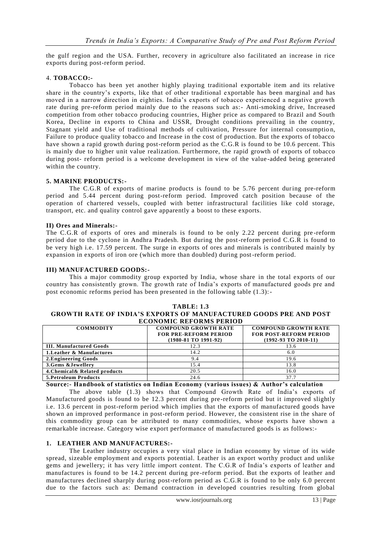the gulf region and the USA. Further, recovery in agriculture also facilitated an increase in rice exports during post-reform period.

### 4. **TOBACCO:-**

Tobacco has been yet another highly playing traditional exportable item and its relative share in the country's exports, like that of other traditional exportable has been marginal and has moved in a narrow direction in eighties. India"s exports of tobacco experienced a negative growth rate during pre-reform period mainly due to the reasons such as:- Anti-smoking drive, Increased competition from other tobacco producing countries, Higher price as compared to Brazil and South Korea, Decline in exports to China and USSR, Drought conditions prevailing in the country, Stagnant yield and Use of traditional methods of cultivation, Pressure for internal consumptio n, Failure to produce quality tobacco and Increase in the cost of production. But the exports of tobacco have shown a rapid growth during post-reform period as the C.G.R is found to be 10.6 percent. This is mainly due to higher unit value realization. Furthermore, the rapid growth of exports of tobacco during post- reform period is a welcome development in view of the value -added being generated within the country.

### **5. MARINE PRODUCTS:-**

The C.G.R of exports of marine products is found to be 5.76 percent during pre-reform period and 5.44 percent during post-reform period. Improved catch position because of the operation of chartered vessels, coupled with better infrastructural facilities like cold storage, transport, etc. and quality control gave apparently a boost to these exports.

### **II) Ores and Minerals:-**

The C.G.R of exports of ores and minerals is found to be only 2.22 percent during pre -reform period due to the cyclone in Andhra Pradesh. But during the post-reform period C.G.R is found to be very high i.e. 17.59 percent. The surge in exports of ores and minerals is contributed mainly by expansion in exports of iron ore (which more than doubled) during post-reform period.

### **III) MANUFACTURED GOODS:-**

This a major commodity group exported by India, whose share in the total exports of our country has consistently grown. The growth rate of India"s exports of manufactured goods pre and post economic reforms period has been presented in the following table (1.3):-

#### **TABLE: 1.3 GROWTH RATE OF INDIA'S EXPORTS OF MANUFACTURED GOODS PRE AND POST ECONOMIC REFORMS PERIOD**

| 800.000010 1081 01000 1 BM 0 B |                                 |                               |  |  |  |  |  |  |  |  |  |  |
|--------------------------------|---------------------------------|-------------------------------|--|--|--|--|--|--|--|--|--|--|
| <b>COMMODITY</b>               | <b>COMPOUND GROWTH RATE</b>     | <b>COMPOUND GROWTH RATE</b>   |  |  |  |  |  |  |  |  |  |  |
|                                | <b>FOR PRE-REFORM PERIOD</b>    | <b>FOR POST-REFORM PERIOD</b> |  |  |  |  |  |  |  |  |  |  |
|                                | $(1980-81 \text{ TO } 1991-92)$ | $(1992-93)$ TO 2010-11)       |  |  |  |  |  |  |  |  |  |  |
| <b>III. Manufactured Goods</b> | 12.3                            | 13.6                          |  |  |  |  |  |  |  |  |  |  |
| 1. Leather & Manufactures      | 14.2                            | 6.0                           |  |  |  |  |  |  |  |  |  |  |
| 2. Engineering Goods           | 9.4                             | 19.6                          |  |  |  |  |  |  |  |  |  |  |
| 3.Gems & Jewellery             | 15.4                            | 13.8                          |  |  |  |  |  |  |  |  |  |  |
| 4. Chemical & Related products | 20.5                            | 16.0                          |  |  |  |  |  |  |  |  |  |  |
| <b>5. Petroleum Products</b>   | 24.6                            | 37.7                          |  |  |  |  |  |  |  |  |  |  |

**Source:- Handbook of statistics on Indian Economy (various issues) & Author's calculation** 

The above table (1.3) shows that Compound Growth Rate of India's exports of Manufactured goods is found to be 12.3 percent during pre -reform period but it improved slightly i.e. 13.6 percent in post-reform period which implies that the exports of manufactured goods have shown an improved performance in post-reform period. However, the consistent rise in the share of this commodity group can be attributed to many commodities, whose exports have shown a remarkable increase. Category wise export performance of manufactured goods is as follows:-

# **1. LEATHER AND MANUFACTURES:-**

The Leather industry occupies a very vital place in Indian economy by virtue of its wide spread, sizeable employment and exports potential. Leather is an export worthy product and unlike gems and jewellery; it has very little import content. The C.G.R of India"s exports of leather and manufactures is found to be 14.2 percent during pre-reform period. But the exports of leather and manufactures declined sharply during post-reform period as C.G.R is found to be only 6.0 percent due to the factors such as: Demand contraction in developed countries resulting from global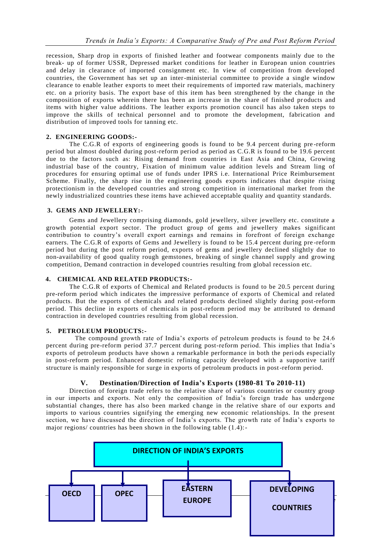recession, Sharp drop in exports of finished leather and footwear components mainly due to the break- up of former USSR, Depressed market conditions for leather in European union countries and delay in clearance of imported consignment etc. In view of competition from developed countries, the Government has set up an inter-ministerial committee to provide a single window clearance to enable leather exports to meet their requirements of imported raw materials, machinery etc. on a priority basis. The export base of this item has been strengthened by the change in the composition of exports wherein there has been an increase in the share of finished products and items with higher value additions. The leather exports promotion council has also taken steps to improve the skills of technical personnel and to promote the development, fabrication and distribution of improved tools for tanning etc.

### **2. ENGINEERING GOODS:-**

The C.G.R of exports of engineering goods is found to be 9.4 percent during pre -reform period but almost doubled during post-reform period as period as C.G.R is found to be 19.6 percent due to the factors such as: Rising demand from countries in East Asia and China, Growing industrial base of the country, Fixation of minimum value addition levels and Stream ling of procedures for ensuring optimal use of funds under IPRS i.e. International Price Reimbursement Scheme. Finally, the sharp rise in the engineering goods exports indicates that despite rising protectionism in the developed countries and strong competition in international market from the newly industrialized countries these items have achieved acceptable quality and quantity standards.

#### **3. GEMS AND JEWELLERY:**-

Gems and Jewellery comprising diamonds, gold jewellery, silver jewellery etc. constitute a growth potential export sector. The product group of gems and jewellery makes significant contribution to country's overall export earnings and remains in forefront of foreign exchange earners. The C.G.R of exports of Gems and Jewellery is found to be 15.4 percent during pre -reform period but during the post reform period, exports of gems and jewellery declined slightly due to non-availability of good quality rough gemstones, breaking of single channel supply and growing competition, Demand contraction in developed countries resulting from global recession etc.

### **4. CHEMICAL AND RELATED PRODUCTS:-**

The C.G.R of exports of Chemical and Related products is found to be 20.5 percent during pre-reform period which indicates the impressive performance of exports of Chemical and related products. But the exports of chemicals and related products declined slightly during post-reform period. This decline in exports of chemicals in post-reform period may be attributed to demand contraction in developed countries resulting from global recession.

#### **5. PETROLEUM PRODUCTS:-**

 The compound growth rate of India"s exports of petroleum products is found to be 24.6 percent during pre-reform period 37.7 percent during post-reform period. This implies that India"s exports of petroleum products have shown a remarkable performance in both the periods especially in post-reform period. Enhanced domestic refining capacity developed with a supportive tariff structure is mainly responsible for surge in exports of petroleum products in post-reform period.

### **V. Destination/Direction of India's Exports (1980-81 To 2010-11)**

Direction of foreign trade refers to the relative share of various countries or country group in our imports and exports. Not only the composition of India"s foreign trade has undergone substantial changes, there has also been marked change in the relative share of our exports and imports to various countries signifying the emerging new economic relationships. In the present section, we have discussed the direction of India"s exports. The growth rate of India"s exports to major regions/ countries has been shown in the following table (1.4):-

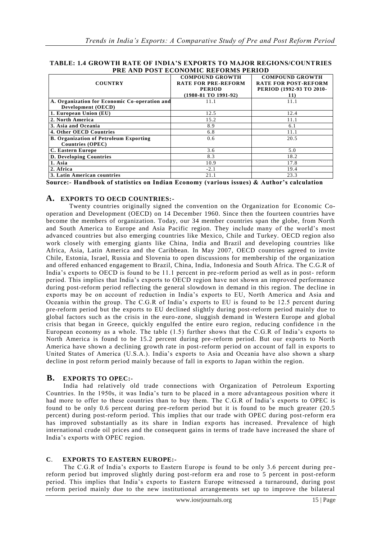#### **TABLE: 1.4 GROWTH RATE OF INDIA'S EXPORTS TO MAJOR REGIONS/COUNTRIES PRE AND POST ECONOMIC REFORMS PERIOD**

| TRE MID TOOT BOONOMIC REFORMO FERIOD          |                                                      |                                                       |  |  |  |  |  |  |  |  |  |
|-----------------------------------------------|------------------------------------------------------|-------------------------------------------------------|--|--|--|--|--|--|--|--|--|
| <b>COUNTRY</b>                                | <b>COMPOUND GROWTH</b><br><b>RATE FOR PRE-REFORM</b> | <b>COMPOUND GROWTH</b><br><b>RATE FOR POST-REFORM</b> |  |  |  |  |  |  |  |  |  |
|                                               | <b>PERIOD</b>                                        | PERIOD (1992-93 TO 2010-                              |  |  |  |  |  |  |  |  |  |
|                                               | $(1980-81)$ TO $1991-92)$                            | 11)                                                   |  |  |  |  |  |  |  |  |  |
| A. Organization for Economic Co-operation and | 11.1                                                 | 11.1                                                  |  |  |  |  |  |  |  |  |  |
| Development (OECD)                            |                                                      |                                                       |  |  |  |  |  |  |  |  |  |
| 1. European Union (EU)                        | 12.5                                                 | 12.4                                                  |  |  |  |  |  |  |  |  |  |
| 2. North America                              | 15.2                                                 | 11.1                                                  |  |  |  |  |  |  |  |  |  |
| 3. Asia and Oceania                           | 8.9                                                  | 6.1                                                   |  |  |  |  |  |  |  |  |  |
| 4. Other OECD Countries                       | 6.8                                                  | 11.1                                                  |  |  |  |  |  |  |  |  |  |
| <b>B. Organization of Petroleum Exporting</b> | 0.6                                                  | 20.5                                                  |  |  |  |  |  |  |  |  |  |
| <b>Countries (OPEC)</b>                       |                                                      |                                                       |  |  |  |  |  |  |  |  |  |
| C. Eastern Europe                             | 3.6                                                  | 5.0                                                   |  |  |  |  |  |  |  |  |  |
| <b>D. Developing Countries</b>                | 8.3                                                  | 18.2                                                  |  |  |  |  |  |  |  |  |  |
| 1. Asia                                       | 10.9                                                 | 17.8                                                  |  |  |  |  |  |  |  |  |  |
| 2. Africa                                     | $-2.1$                                               | 19.4                                                  |  |  |  |  |  |  |  |  |  |
| 3. Latin American countries                   | 21.1                                                 | 23.3                                                  |  |  |  |  |  |  |  |  |  |

**Source:- Handbook of statistics on Indian Economy (various issues) & Author's calculation** 

# **A. EXPORTS TO OECD COUNTRIES:-**

Twenty countries originally signed the convention on the Organization for Economic Cooperation and Development (OECD) on 14 December 1960. Since then the fourteen countries have become the members of organization. Today, our 34 member countries span the globe, from North and South America to Europe and Asia Pacific region. They include many of the world"s most advanced countries but also emerging countries like Mexico, Chile and Turkey. OECD region also work closely with emerging giants like China, India and Brazil and developing countries like Africa, Asia, Latin America and the Caribbean. In May 2007, OECD countries agreed to invite Chile, Estonia, Israel, Russia and Slovenia to open discussions for membership of the organization and offered enhanced engagement to Brazil, China, India, Indonesia and South Africa. The C.G.R of India"s exports to OECD is found to be 11.1 percent in pre -reform period as well as in post- reform period. This implies that India"s exports to OECD region have not shown an improved performance during post-reform period reflecting the general slowdown in demand in this region. The decline in exports may be on account of reduction in India"s exports to EU, North America and Asia and Oceania within the group. The C.G.R of India"s exports to EU is found to be 12.5 percent during pre-reform period but the exports to EU declined slightly during post-reform period mainly due to global factors such as the crisis in the euro-zone, sluggish demand in Western Europe and global crisis that began in Greece, quickly engulfed the entire euro region, reducing confidence in the European economy as a whole. The table (1.5) further shows that the C.G.R of India"s exports to North America is found to be 15.2 percent during pre-reform period. But our exports to North America have shown a declining growth rate in post-reform period on account of fall in exports to United States of America (U.S.A.). India"s exports to Asia and Oceania have also shown a sharp decline in post reform period mainly because of fall in exports to Japan within the region.

# **B. EXPORTS TO OPEC:-**

India had relatively old trade connections with Organization of Petroleum Exporting Countries. In the 1950s, it was India"s turn to be placed in a more advantageous position where it had more to offer to these countries than to buy them. The C.G.R of India's exports to OPEC is found to be only 0.6 percent during pre-reform period but it is found to be much greater (20.5 percent) during post-reform period. This implies that our trade with OPEC during post-reform era has improved substantially as its share in Indian exports has increased. Prevalence of high international crude oil prices and the consequent gains in terms of trade have increased the share of India"s exports with OPEC region.

# **C**. **EXPORTS TO EASTERN EUROPE:-**

The C.G.R of India's exports to Eastern Europe is found to be only 3.6 percent during prereform period but improved slightly during post-reform era and rose to 5 percent in post-reform period. This implies that India"s exports to Eastern Europe witnessed a turnaround, during post reform period mainly due to the new institutional arrangements set up to improve the bilateral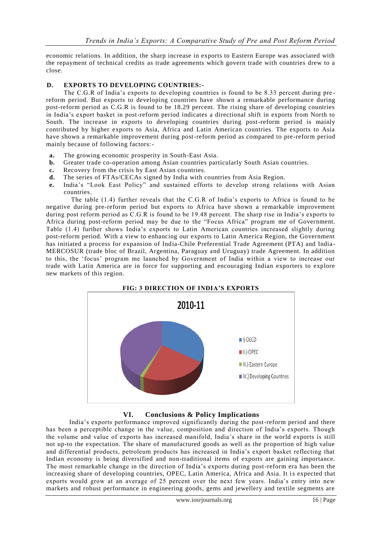economic relations. In addition, the sharp increase in exports to Eastern Europe was associated with the repayment of technical credits as trade agreements which govern trade with countries drew to a close.

# **D. EXPORTS TO DEVELOPING COUNTRIES:-**

The C.G.R of India's exports to developing countries is found to be 8.33 percent during prereform period. But exports to developing countries have shown a remarkable performance during post-reform period as C.G.R is found to be 18.29 percent. The rising share of developing countries in India"s export basket in post-reform period indicates a directional shift in exports from North to South. The increase in exports to developing countries during post-reform period is mainly contributed by higher exports to Asia, Africa and Latin American countries. The exports to Asia have shown a remarkable improvement during post-reform period as compared to pre-reform period mainly because of following factors:-

- **a.** The growing economic prosperity in South-East Asia.
- **b.** Greater trade co-operation among Asian countries particularly South Asian countries.
- **c.** Recovery from the crisis by East Asian countries.
- **d.** The series of FTAs/CECAs signed by India with countries from Asia Region.
- **e.** India"s "Look East Policy" and sustained efforts to develop strong relations with Asian countries.

The table (1.4) further reveals that the C.G.R of India"s exports to Africa is found to be negative during pre-reform period but exports to Africa have shown a remarkable improvement during post reform period as C.G.R is found to be 19.48 percent. The sharp rise in India"s exports to Africa during post-reform period may be due to the "Focus Africa" program me of Government. Table (1.4) further shows India"s exports to Latin American countries increased slightly during post-reform period. With a view to enhancing our exports to Latin America Region, the Government has initiated a process for expansion of India-Chile Preferential Trade Agreement (PTA) and India - MERCOSUR (trade bloc of Brazil, Argentina, Paraguay and Uruguay) trade Agreement. In addition to this, the "focus" program me launched by Government of India within a view to increase our trade with Latin America are in force for supporting and encouraging Indian exporters to explore new markets of this region.



# **VI. Conclusions & Policy Implications**

India"s exports performance improved significantly during the post-reform period and there has been a perceptible change in the value, composition and direction of India"s exports. Though the volume and value of exports has increased manifold, India's share in the world exports is still not up-to the expectation. The share of manufactured goods as well as the proportion of high value and differential products, petroleum products has increased in India"s export basket reflecting that Indian economy is being diversified and non-traditional items of exports are gaining importance. The most remarkable change in the direction of India"s exports during post-reform era has been the increasing share of developing countries, OPEC, Latin America, Africa and Asia. It is expected that exports would grow at an average of 25 percent over the next few years. India"s entry into new markets and robust performance in engineering goods, gems and jewellery and textile segments are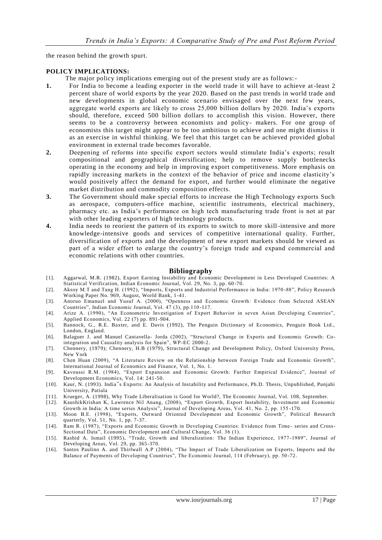the reason behind the growth spurt.

### **POLICY IMPLICATIONS:**

- The major policy implications emerging out of the present study are as follows:-
- **1.** For India to become a leading exporter in the world trade it will have to achieve at-least 2 percent share of world exports by the year 2020. Based on the past trends in world trade and new developments in global economic scenario envisaged over the next few years, aggregate world exports are likely to cross 25,000 billion dollars by 2020. India"s exports should, therefore, exceed 500 billion dollars to accomplish this vision. However, there seems to be a controversy between economists and policy- makers. For one group of economists this target might appear to be too ambitious to achieve and one might dismiss it as an exercise in wishful thinking. We feel that this target can be achieved provided global environment in external trade becomes favorable.
- **2.** Deepening of reforms into specific export sectors would stimulate India"s exports; result compositional and geographical diversification; help to remove supply bottlenecks operating in the economy and help in improving export competitiveness. More emphasis on rapidly increasing markets in the context of the behavior of price and income elasticity"s would positively affect the demand for export, and further would eliminate the negative market distribution and commodity composition effects.
- **3.** The Government should make special efforts to increase the High Technology exports Such as aerospace, computers-office machine, scientific instruments, electrical machinery, pharmacy etc. as India"s performance on high tech manufacturing trade front is not at par with other leading exporters of high technology products.
- **4.** India needs to reorient the pattern of its exports to switch to more skill-intensive and more knowledge-intensive goods and services of competitive international quality. Further, diversification of exports and the development of new export markets should be viewed as part of a wider effort to enlarge the country"s foreign trade and expand commercial and economic relations with other countries.

### **Bibliography**

- [1]. Aggarwal, M.R. (1982), Export Earning Instability and Economic Development in Less Developed Countries: A Statistical Verification, Indian Economic Journal, Vol. 29, No. 3, pp. 60 -70.
- [2]. Aksoy M.T and Tang H. (1992), "Imports, Exports and Industrial Performance in India: 1970 -88", Policy Research Working Paper No. 969, August, World Bank, 1-41.
- [3]. Anoruo Emanuel and Yusuf A. (2000), "Openness and Economic Growth: Evidence from Selected ASEAN Countries", Indian Economic Journal, Vol. 47 (3), pp.110 -117.
- [4]. Arize A. (1990), "An Econometric Investigation of Export Behavior in seven Asian Developing Countries", Applied Economics, Vol. 22 (7) pp. 891-904.
- [5]. Bannock, G., R.E. Baxter, and E. Davis (1992), The Penguin Dictionary of Economics, Penguin Book Ltd., London, England.
- [6]. Balaguer J. and Manuel Cantavella- Jorda (2002), "Structural Change in Exports and Economic Growth: Cointegration and Causality analysis for Spain", WP-EC 2000-2.
- [7]. Chennery, (1979); Chennery, H.B (1979), Structural Change and Development Policy, Oxford University Press, New York
- [8]. Chen Huan (2009), "A Literature Review on the Relationship between Foreign Trade and Economic Growth", International Journal of Economics and Finance, Vol. 1, No. 1.
- [9]. Kavoussi R.M. (1984), "Export Expansion and Economic Growth: Further Empirical Evidence", Journal of Development Economics, Vol. 14: 241-50.
- [10]. Kaur, N. (1993). India"s Exports: An Analysis of Instability and Performance, Ph.D. Thesis, Unpublished, Punjabi University, Patiala
- [11]. Krueger, A. (1998), Why Trade Liberalisation is Good for World?, The Economic Journal, Vol. 108, September.
- [12]. KaushikKrishan K, Lawrence Nil Anang, (2008), "Export Growth, Export Instability, Investment and Economic Growth in India: A time series Analysis", Journal of Developing Areas, Vol. 41, No. 2, pp. 155 -170.
- [13]. Moon B.E. (1998), "Exports, Outward Oriented Development and Economic Growth", Political Research quarterly, Vol. 51, No. 1, pp. 7-37.
- [14]. Ram R. (1987), "Exports and Economic Growth in Developing Countries: Evidence from Time- series and Cross-Sectional Data", Economic Development and Cultural Change, Vol. 36 (1).
- [15]. Rashid A. Ismail (1995), "Trade, Growth and liberalization: The Indian Experience, 1977 -1989", Journal of Developing Areas, Vol. 29, pp. 365-370.
- [16]. Santos Paulino A. and Thirlwall A.P (2004), "The Impact of Trade Liberalization on Exports, Imports and the Balance of Payments of Developing Countries", The Economic Journal, 114 (February), pp. 50 -72.